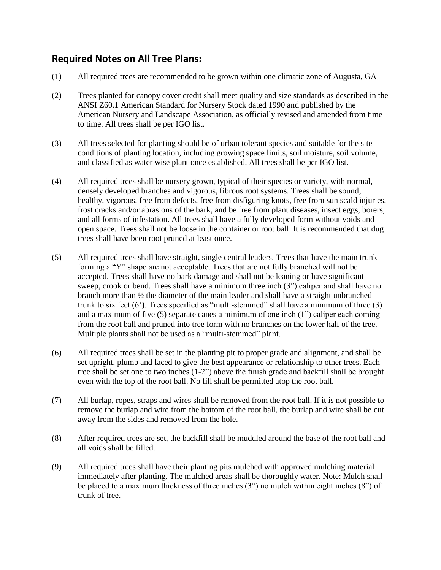## **Required Notes on All Tree Plans:**

- (1) All required trees are recommended to be grown within one climatic zone of Augusta, GA
- (2) Trees planted for canopy cover credit shall meet quality and size standards as described in the ANSI Z60.1 American Standard for Nursery Stock dated 1990 and published by the American Nursery and Landscape Association, as officially revised and amended from time to time. All trees shall be per IGO list.
- (3) All trees selected for planting should be of urban tolerant species and suitable for the site conditions of planting location, including growing space limits, soil moisture, soil volume, and classified as water wise plant once established. All trees shall be per IGO list.
- (4) All required trees shall be nursery grown, typical of their species or variety, with normal, densely developed branches and vigorous, fibrous root systems. Trees shall be sound, healthy, vigorous, free from defects, free from disfiguring knots, free from sun scald injuries, frost cracks and/or abrasions of the bark, and be free from plant diseases, insect eggs, borers, and all forms of infestation. All trees shall have a fully developed form without voids and open space. Trees shall not be loose in the container or root ball. It is recommended that dug trees shall have been root pruned at least once.
- (5) All required trees shall have straight, single central leaders. Trees that have the main trunk forming a "Y" shape are not acceptable. Trees that are not fully branched will not be accepted. Trees shall have no bark damage and shall not be leaning or have significant sweep, crook or bend. Trees shall have a minimum three inch (3") caliper and shall have no branch more than ½ the diameter of the main leader and shall have a straight unbranched trunk to six feet (6'**)**. Trees specified as "multi-stemmed" shall have a minimum of three (3) and a maximum of five (5) separate canes a minimum of one inch (1") caliper each coming from the root ball and pruned into tree form with no branches on the lower half of the tree. Multiple plants shall not be used as a "multi-stemmed" plant.
- (6) All required trees shall be set in the planting pit to proper grade and alignment, and shall be set upright, plumb and faced to give the best appearance or relationship to other trees. Each tree shall be set one to two inches (1-2") above the finish grade and backfill shall be brought even with the top of the root ball. No fill shall be permitted atop the root ball.
- (7) All burlap, ropes, straps and wires shall be removed from the root ball. If it is not possible to remove the burlap and wire from the bottom of the root ball, the burlap and wire shall be cut away from the sides and removed from the hole.
- (8) After required trees are set, the backfill shall be muddled around the base of the root ball and all voids shall be filled.
- (9) All required trees shall have their planting pits mulched with approved mulching material immediately after planting. The mulched areas shall be thoroughly water. Note: Mulch shall be placed to a maximum thickness of three inches (3") no mulch within eight inches (8") of trunk of tree.